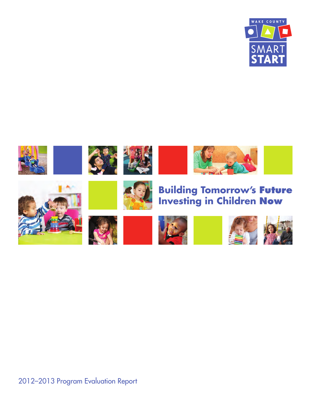

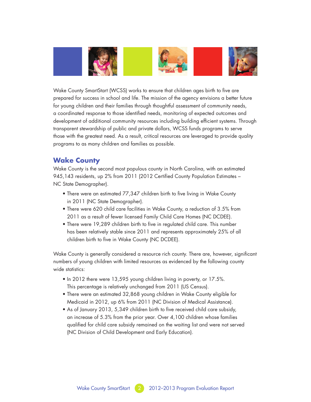

Wake County SmartStart (WCSS) works to ensure that children ages birth to five are prepared for success in school and life. The mission of the agency envisions a better future for young children and their families through thoughtful assessment of community needs, a coordinated response to those identified needs, monitoring of expected outcomes and development of additional community resources including building efficient systems. Through transparent stewardship of public and private dollars, WCSS funds programs to serve those with the greatest need. As a result, critical resources are leveraged to provide quality programs to as many children and families as possible.

# **Wake County**

Wake County is the second most populous county in North Carolina, with an estimated 945,143 residents, up 2% from 2011 (2012 Certified County Population Estimates – NC State Demographer).

- There were an estimated 77,347 children birth to five living in Wake County in 2011 (NC State Demographer).
- There were 620 child care facilities in Wake County, a reduction of 3.5% from 2011 as a result of fewer licensed Family Child Care Homes (NC DCDEE).
- There were 19,289 children birth to five in regulated child care. This number has been relatively stable since 2011 and represents approximately 25% of all children birth to five in Wake County (NC DCDEE).

Wake County is generally considered a resource rich county. There are, however, significant numbers of young children with limited resources as evidenced by the following county wide statistics:

- In 2012 there were 13,595 young children living in poverty, or 17.5%. This percentage is relatively unchanged from 2011 (US Census).
- There were an estimated 32,868 young children in Wake County eligible for Medicaid in 2012, up 6% from 2011 (NC Division of Medical Assistance).
- As of January 2013, 5,349 children birth to five received child care subsidy, an increase of 5.3% from the prior year. Over 4,100 children whose families qualified for child care subsidy remained on the waiting list and were not served (NC Division of Child Development and Early Education).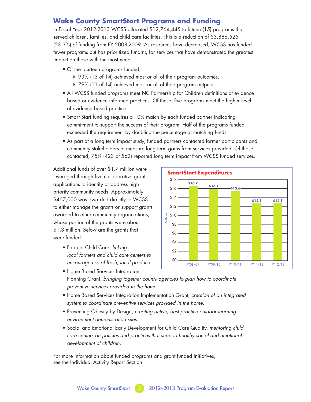# **Wake County SmartStart Programs and Funding**

In Fiscal Year 2012-2013 WCSS allocated \$12,764,445 to fifteen (15) programs that served children, families, and child care facilities. This is a reduction of \$3,886,525 (23.3%) of funding from FY 2008-2009. As resources have decreased, WCSS has funded fewer programs but has prioritized funding for services that have demonstrated the greatest impact on those with the most need.

- Of the fourteen programs funded,
	- ▶ 93% (13 of 14) achieved most or all of their program outcomes.
	- ▶ 79% (11 of 14) achieved most or all of their program outputs.
- All WCSS funded programs meet NC Partnership for Children definitions of evidence based or evidence informed practices. Of these, five programs meet the higher level of evidence based practice.
- Smart Start funding requires a 10% match by each funded partner indicating commitment to support the success of their program. Half of the programs funded exceeded the requirement by doubling the percentage of matching funds.
- As part of a long term impact study, funded partners contacted former participants and community stakeholders to measure long term gains from services provided. Of those contacted, 75% (423 of 562) reported long term impact from WCSS funded services.

Additional funds of over \$1.7 million were leveraged through five collaborative grant applications to identify or address high priority community needs. Approximately \$467,000 was awarded directly to WCSS to either manage the grants or support grants awarded to other community organizations, whose portion of the grants were about \$1.3 million. Below are the grants that were funded:

- Farm to Child Care, *linking local farmers and child care centers to encourage use of fresh, local produce.*
- Home Based Services Integration Planning Grant, *bringing together county agencies to plan how to coordinate preventive services provided in the home.*
- Home Based Services Integration Implementation Grant, *creation of an integrated system to coordinate preventive services provided in the home.*
- Preventing Obesity by Design, *creating active, best practice outdoor learning environment demonstration sites.*
- Social and Emotional Early Development for Child Care Quality, *mentoring child care centers on policies and practices that support healthy social and emotional development of children.*

For more information about funded programs and grant funded initiatives, see the Individual Activity Report Section.

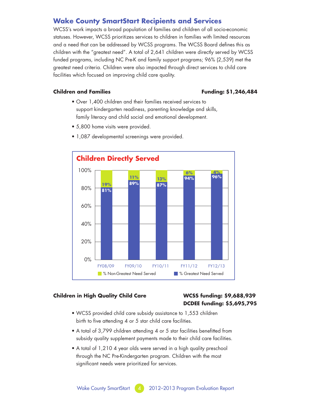# **Wake County SmartStart Recipients and Services**

WCSS's work impacts a broad population of families and children of all socio-economic statuses. However, WCSS prioritizes services to children in families with limited resources and a need that can be addressed by WCSS programs. The WCSS Board defines this as children with the "greatest need". A total of 2,641 children were directly served by WCSS funded programs, including NC Pre-K and family support programs; 96% (2,539) met the greatest need criteria. Children were also impacted through direct services to child care facilities which focused on improving child care quality.

# **Children and Families Funding: \$1,246,484**

- Over 1,400 children and their families received services to support kindergarten readiness, parenting knowledge and skills, family literacy and child social and emotional development.
- 5,800 home visits were provided.



• 1,087 developmental screenings were provided.

# **Children in High Quality Child Care WCSS funding: \$9,688,939**

# **DCDEE funding: \$5,695,795**

- WCSS provided child care subsidy assistance to 1,553 children birth to five attending 4 or 5 star child care facilities.
- A total of 3,799 children attending 4 or 5 star facilities benefitted from subsidy quality supplement payments made to their child care facilities.
- A total of 1,210 4 year olds were served in a high quality preschool through the NC Pre-Kindergarten program. Children with the most significant needs were prioritized for services.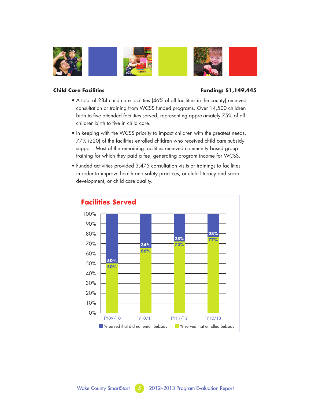

# **Child Care Facilities Funding: \$1,149,445**

- A total of 284 child care facilities (46% of all facilities in the county) received consultation or training from WCSS funded programs. Over 14,500 children birth to five attended facilities served, representing approximately 75% of all children birth to five in child care.
- In keeping with the WCSS priority to impact children with the greatest needs, 77% (220) of the facilities enrolled children who received child care subsidy support. Most of the remaining facilities received community based group training for which they paid a fee, generating program income for WCSS.
- Funded activities provided 3,475 consultation visits or trainings to facilities in order to improve health and safety practices, or child literacy and social development, or child care quality.

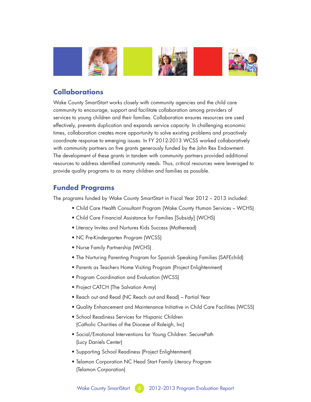

# **Collaborations**

Wake County SmartStart works closely with community agencies and the child care community to encourage, support and facilitate collaboration among providers of services to young children and their families. Collaboration ensures resources are used effectively, prevents duplication and expands service capacity. In challenging economic times, collaboration creates more opportunity to solve existing problems and proactively coordinate response to emerging issues. In FY 2012-2013 WCSS worked collaboratively with community partners on five grants generously funded by the John Rex Endowment. The development of these grants in tandem with community partners provided additional resources to address identified community needs. Thus, critical resources were leveraged to provide quality programs to as many children and families as possible.

# **Funded Programs**

The programs funded by Wake County SmartStart in Fiscal Year 2012 – 2013 included:

- Child Care Health Consultant Program (Wake County Human Services WCHS)
- Child Care Financial Assistance for Families [Subsidy] (WCHS)
- Literacy Invites and Nurtures Kids Success (Motheread)
- NC Pre-Kindergarten Program (WCSS)
- Nurse Family Partnership (WCHS)
- The Nurturing Parenting Program for Spanish Speaking Families (SAFEchild)
- Parents as Teachers Home Visiting Program (Project Enlightenment)
- Program Coordination and Evaluation (WCSS)
- Project CATCH (The Salvation Army)
- Reach out and Read (NC Reach out and Read) Partial Year
- Quality Enhancement and Maintenance Initiative in Child Care Facilities (WCSS)
- School Readiness Services for Hispanic Children (Catholic Charities of the Diocese of Raleigh, Inc)
- Social/Emotional Interventions for Young Children: SecurePath (Lucy Daniels Center)
- Supporting School Readiness (Project Enlightenment)
- Telamon Corporation NC Head Start Family Literacy Program (Telamon Corporation)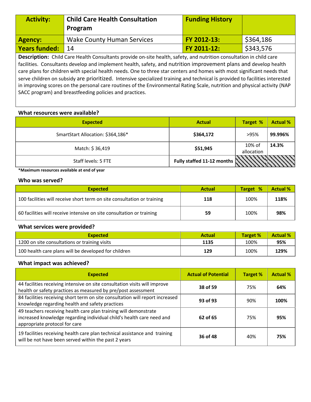| <b>Activity:</b>     | <b>Child Care Health Consultation</b><br>Program | <b>Funding History</b> |           |
|----------------------|--------------------------------------------------|------------------------|-----------|
| Agency:              | <b>Wake County Human Services</b>                | FY 2012-13:            | \$364,186 |
| <b>Years funded:</b> | 14                                               | FY 2011-12:            | \$343,576 |

**Description:** Child Care Health Consultants provide on-site health, safety, and nutrition consultation in child care facilities. Consultants develop and implement health, safety, and nutrition improvement plans and develop health care plans for children with special health needs. One to three star centers and homes with most significant needs that serve children on subsidy are prioritized. Intensive specialized training and technical is provided to facilities interested in improving scores on the personal care routines of the Environmental Rating Scale, nutrition and physical activity (NAP SACC program) and breastfeeding policies and practices.

# **What resources were available?**

| <b>Expected</b>                   | <b>Actual</b>              | <b>Target %</b>         | <b>Actual %</b> |
|-----------------------------------|----------------------------|-------------------------|-----------------|
| SmartStart Allocation: \$364,186* | \$364,172                  | >95%                    | 99.996%         |
| Match: \$36,419                   | \$51,945                   | $10\%$ of<br>allocation | 14.3%           |
| Staff levels: 5 FTE               | Fully staffed 11-12 months |                         |                 |

**\*Maximum resources available at end of year** 

#### **Who was served?**

| <b>Expected</b>                                                         | <b>Actual</b> | Target % | <b>Actual %</b> |
|-------------------------------------------------------------------------|---------------|----------|-----------------|
| 100 facilities will receive short term on site consultation or training | 118           | 100%     | 118%            |
| 60 facilities will receive intensive on site consultation or training   | 59            | 100%     | 98%             |

#### **What services were provided?**

| <b>Expected</b>                                      | <b>Actual</b> | Target % | <b>Actual %</b> |
|------------------------------------------------------|---------------|----------|-----------------|
| 1200 on site consultations or training visits        | 1135          | 100%     | 95%             |
| 100 health care plans will be developed for children | 129           | 100%     | 129%            |

| <b>Expected</b>                                                                                                                                                            | <b>Actual of Potential</b> | <b>Target %</b> | <b>Actual %</b> |
|----------------------------------------------------------------------------------------------------------------------------------------------------------------------------|----------------------------|-----------------|-----------------|
| 44 facilities receiving intensive on site consultation visits will improve<br>health or safety practices as measured by pre/post assessment                                | 38 of 59                   | 75%             | 64%             |
| 84 facilities receiving short term on site consultation will report increased<br>knowledge regarding health and safety practices                                           | 93 of 93                   | 90%             | 100%            |
| 49 teachers receiving health care plan training will demonstrate<br>increased knowledge regarding individual child's health care need and<br>appropriate protocol for care | 62 of 65                   | 75%             | 95%             |
| 19 facilities receiving health care plan technical assistance and training<br>will be not have been served within the past 2 years                                         | 36 of 48                   | 40%             | 75%             |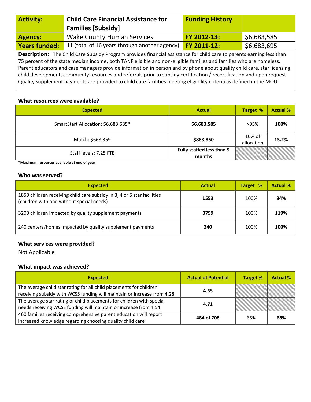| <b>Activity:</b>                                                                                                             | <b>Child Care Financial Assistance for</b>    | <b>Funding History</b> |             |  |
|------------------------------------------------------------------------------------------------------------------------------|-----------------------------------------------|------------------------|-------------|--|
|                                                                                                                              | <b>Families [Subsidy]</b>                     |                        |             |  |
| <b>Agency:</b>                                                                                                               | <b>Wake County Human Services</b>             | FY 2012-13:            | \$6,683,585 |  |
| <b>Years funded:</b>                                                                                                         | 11 (total of 16 years through another agency) | FY 2011-12:            | \$6,683,695 |  |
| <b>Description:</b> The Child Care Subsidy Program provides financial assistance for child care to parents earning less than |                                               |                        |             |  |

75 percent of the state median income, both TANF eligible and non-eligible families and families who are homeless. Parent educators and case managers provide information in person and by phone about quality child care, star licensing, child development, community resources and referrals prior to subsidy certification / recertification and upon request. Quality supplement payments are provided to child care facilities meeting eligibility criteria as defined in the MOU.

# **What resources were available?**

| <b>Expected</b>                     | <b>Actual</b>                       | <b>Target %</b>         | <b>Actual %</b> |
|-------------------------------------|-------------------------------------|-------------------------|-----------------|
| SmartStart Allocation: \$6,683,585* | \$6,683,585                         | >95%                    | 100%            |
| Match: \$668,359                    | \$883,850                           | $10\%$ of<br>allocation | 13.2%           |
| Staff levels: 7.25 FTE              | Fully staffed less than 9<br>months |                         |                 |

**\*Maximum resources available at end of year** 

# **Who was served?**

| <b>Expected</b>                                                                                                      | <b>Actual</b> | <b>Target %</b> | <b>Actual %</b> |
|----------------------------------------------------------------------------------------------------------------------|---------------|-----------------|-----------------|
| 1850 children receiving child care subsidy in 3, 4 or 5 star facilities<br>(children with and without special needs) | 1553          | 100%            | 84%             |
| 3200 children impacted by quality supplement payments                                                                | 3799          | 100%            | 119%            |
| 240 centers/homes impacted by quality supplement payments                                                            | 240           | 100%            | 100%            |

# **What services were provided?**

Not Applicable

| <b>Expected</b>                                                                                                                                | <b>Actual of Potential</b> | <b>Target %</b> | <b>Actual %</b> |
|------------------------------------------------------------------------------------------------------------------------------------------------|----------------------------|-----------------|-----------------|
| The average child star rating for all child placements for children<br>receiving subsidy with WCSS funding will maintain or increase from 4.28 | 4.65                       |                 |                 |
| The average star rating of child placements for children with special<br>needs receiving WCSS funding will maintain or increase from 4.54      | 4.71                       |                 |                 |
| 460 families receiving comprehensive parent education will report<br>increased knowledge regarding choosing quality child care                 | 484 of 708                 | 65%             | 68%             |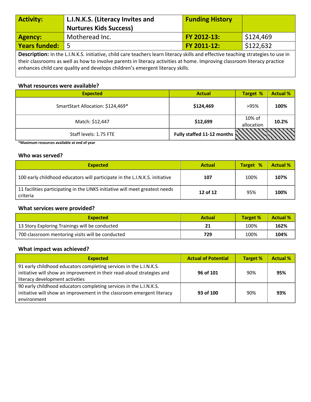| <b>Activity:</b>                                                                                                        | L.I.N.K.S. (Literacy Invites and<br><b>Nurtures Kids Success)</b> | <b>Funding History</b> |           |  |
|-------------------------------------------------------------------------------------------------------------------------|-------------------------------------------------------------------|------------------------|-----------|--|
| <b>Agency:</b>                                                                                                          | Motheread Inc.                                                    | FY 2012-13:            | \$124,469 |  |
| Years funded:                                                                                                           |                                                                   | FY 2011-12:            | \$122,632 |  |
| Descriptions to the UULC initiative shild ease teachers leave literary dille and effective teaching studented to you in |                                                                   |                        |           |  |

**Description:** In the L.I.N.K.S. initiative, child care teachers learn literacy skills and effective teaching strategies to use in their classrooms as well as how to involve parents in literacy activities at home. Improving classroom literacy practice enhances child care quality and develops children's emergent literacy skills.

#### **What resources were available?**

| <b>Expected</b>                   | <b>Actual</b>                          | <b>Target %</b>      | <b>Actual %</b> |
|-----------------------------------|----------------------------------------|----------------------|-----------------|
| SmartStart Allocation: \$124,469* | \$124,469                              | >95%                 | 100%            |
| Match: \$12,447                   | \$12,699                               | 10% of<br>allocation | 10.2%           |
| Staff levels: 1.75 FTE            | Fully staffed 11-12 months $\bigwedge$ |                      |                 |

**\*Maximum resources available at end of year** 

#### **Who was served?**

| <b>Expected</b>                                                                          | <b>Actual</b> | Target % | <b>Actual %</b> |
|------------------------------------------------------------------------------------------|---------------|----------|-----------------|
| 100 early childhood educators will participate in the L.I.N.K.S. initiative              | 107           | 100%     | 107%            |
| 11 facilities participating in the LINKS initiative will meet greatest needs<br>criteria | 12 of 12      | 95%      | 100%            |

# **What services were provided?**

| <b>Expected</b>                                  | <b>Actual</b> | <b>Target %</b> | <b>Actual %</b> |
|--------------------------------------------------|---------------|-----------------|-----------------|
| 13 Story Exploring Trainings will be conducted   |               | 100%            | 162%            |
| 700 classroom mentoring visits will be conducted | 729           | 100%            | 104%            |

| <b>Expected</b>                                                                                           | <b>Actual of Potential</b> | <b>Target %</b> | <b>Actual %</b> |
|-----------------------------------------------------------------------------------------------------------|----------------------------|-----------------|-----------------|
| 91 early childhood educators completing services in the L.I.N.K.S.                                        |                            |                 |                 |
| initiative will show an improvement in their read-aloud strategies and<br>literacy development activities | 96 of 101                  | 90%             | 95%             |
| 90 early childhood educators completing services in the L.I.N.K.S.                                        |                            |                 |                 |
| initiative will show an improvement in the classroom emergent literacy                                    | 93 of 100                  | 90%             | 93%             |
| environment                                                                                               |                            |                 |                 |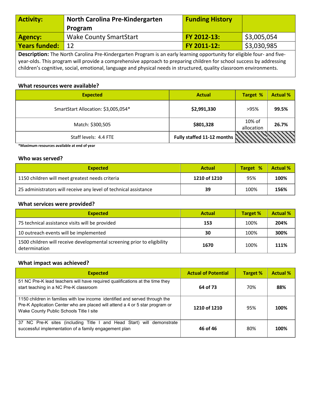| <b>Activity:</b>                                                                                                            | North Carolina Pre-Kindergarten | <b>Funding History</b> |             |  |
|-----------------------------------------------------------------------------------------------------------------------------|---------------------------------|------------------------|-------------|--|
|                                                                                                                             | Program                         |                        |             |  |
| <b>Agency:</b>                                                                                                              | <b>Wake County SmartStart</b>   | FY 2012-13:            | \$3,005,054 |  |
| <b>Years funded:</b>                                                                                                        | 12                              | <b>FY 2011-12:</b>     | \$3,030,985 |  |
| <b>Description:</b> The Nexth Carolina Dre Kindergarten Dreggam is an early learning enpertunity for eligible four and five |                                 |                        |             |  |

**Description:** The North Carolina Pre-Kindergarten Program is an early learning opportunity for eligible four- and fiveyear-olds. This program will provide a comprehensive approach to preparing children for school success by addressing children's cognitive, social, emotional, language and physical needs in structured, quality classroom environments.

# **What resources were available?**

| <b>Expected</b>                     | <b>Actual</b>                          | <b>Target %</b>      | <b>Actual %</b> |
|-------------------------------------|----------------------------------------|----------------------|-----------------|
| SmartStart Allocation: \$3,005,054* | \$2,991,330                            | >95%                 | 99.5%           |
| Match: \$300,505                    | \$801,328                              | 10% of<br>allocation | 26.7%           |
| Staff levels: 4.4 FTE               | Fully staffed 11-12 months $\mathbb N$ |                      |                 |

**\*Maximum resources available at end of year** 

# **Who was served?**

| <b>Expected</b>                                                  | Actual       | Target % | <b>Actual %</b> |
|------------------------------------------------------------------|--------------|----------|-----------------|
| 1150 children will meet greatest needs criteria                  | 1210 of 1210 | 95%      | 100%            |
| 25 administrators will receive any level of technical assistance | 39           | 100%     | 156%            |

# **What services were provided?**

| <b>Expected</b>                                                                          | <b>Actual</b> | <b>Target %</b> | <b>Actual %</b> |
|------------------------------------------------------------------------------------------|---------------|-----------------|-----------------|
| 75 technical assistance visits will be provided                                          | 153           | 100%            | 204%            |
| 10 outreach events will be implemented                                                   | 30            | 100%            | 300%            |
| 1500 children will receive developmental screening prior to eligibility<br>determination | 1670          | 100%            | 111%            |

| <b>Expected</b>                                                                                                                                                                                        | <b>Actual of Potential</b> | <b>Target %</b> | <b>Actual %</b> |
|--------------------------------------------------------------------------------------------------------------------------------------------------------------------------------------------------------|----------------------------|-----------------|-----------------|
| 51 NC Pre-K lead teachers will have required qualifications at the time they<br>start teaching in a NC Pre-K classroom                                                                                 | 64 of 73                   | 70%             | 88%             |
| 1150 children in families with low income identified and served through the<br>Pre-K Application Center who are placed will attend a 4 or 5 star program or<br>Wake County Public Schools Title I site | 1210 of 1210               | 95%             | 100%            |
| 37 NC Pre-K sites (including Title I and Head Start) will demonstrate<br>successful implementation of a family engagement plan                                                                         | 46 of 46                   | 80%             | 100%            |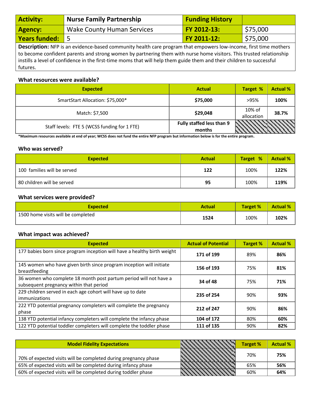| <b>Activity:</b>                                                                                                       | <b>Nurse Family Partnership</b>   | <b>Funding History</b> |          |
|------------------------------------------------------------------------------------------------------------------------|-----------------------------------|------------------------|----------|
| Agency:                                                                                                                | <b>Wake County Human Services</b> | FY 2012-13:            | \$75,000 |
| <b>Years funded:</b>                                                                                                   |                                   | <b>FY 2011-12:</b>     | \$75,000 |
| <b>Description:</b> NEP is an evidence-based community health care program that empowers low-income first time mothers |                                   |                        |          |

**Description:** NFP is an evidence-based community health care program that empowers low-income, first time mothers to become confident parents and strong women by partnering them with nurse home visitors. This trusted relationship instills a level of confidence in the first-time moms that will help them guide them and their children to successful futures.

# **What resources were available?**

| <b>Expected</b>                              | <b>Actual</b>                       | <b>Target %</b>      | <b>Actual %</b> |
|----------------------------------------------|-------------------------------------|----------------------|-----------------|
| SmartStart Allocation: \$75,000*             | \$75,000                            | >95%                 | 100%            |
| Match: \$7,500                               | \$29,048                            | 10% of<br>allocation | 38.7%           |
| Staff levels: FTE 5 (WCSS funding for 1 FTE) | Fully staffed less than 9<br>months |                      |                 |

**\*Maximum resources available at end of year; WCSS does not fund the entire NFP program but information below is for the entire program.** 

# **Who was served?**

| <b>Expected</b>             | <b>Actual</b> | Target % | <b>Actual %</b> |
|-----------------------------|---------------|----------|-----------------|
| 100 families will be served | 122           | 100%     | 122%            |
| 80 children will be served  | 95            | 100%     | 119%            |

# **What services were provided?**

| <b>Expected</b>                    | <b>Actual</b> | <b>Target %</b> | <b>Actual %</b> |
|------------------------------------|---------------|-----------------|-----------------|
| 1500 home visits will be completed | 1524          | 100%            | 102%            |

| <b>Expected</b>                                                                                              | <b>Actual of Potential</b> | <b>Target %</b> | <b>Actual %</b> |
|--------------------------------------------------------------------------------------------------------------|----------------------------|-----------------|-----------------|
| 177 babies born since program inception will have a healthy birth weight                                     | 171 of 199                 | 89%             | 86%             |
| 145 women who have given birth since program inception will initiate<br>breastfeeding                        | 156 of 193                 | 75%             | 81%             |
| 36 women who complete 18 month post partum period will not have a<br>subsequent pregnancy within that period | 34 of 48                   | 75%             | 71%             |
| 229 children served in each age cohort will have up to date<br>immunizations                                 | 235 of 254                 | 90%             | 93%             |
| 222 YTD potential pregnancy completers will complete the pregnancy<br>phase                                  | 212 of 247                 | 90%             | 86%             |
| 138 YTD potential infancy completers will complete the infancy phase                                         | 104 of 172                 | 80%             | 60%             |
| 122 YTD potential toddler completers will complete the toddler phase                                         | 111 of 135                 | 90%             | 82%             |

| <b>Model Fidelity Expectations</b>                              |  | <b>Target %</b> | <b>Actual %</b> |
|-----------------------------------------------------------------|--|-----------------|-----------------|
| 70% of expected visits will be completed during pregnancy phase |  | 70%             | 75%             |
| 65% of expected visits will be completed during infancy phase   |  | 65%             | 56%             |
| 60% of expected visits will be completed during toddler phase   |  | 60%             | 64%             |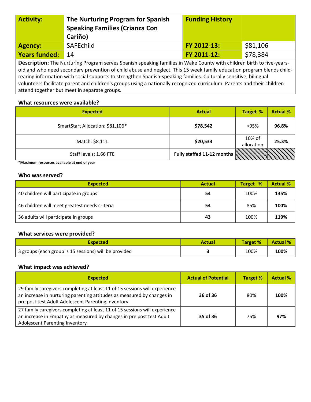| <b>Activity:</b>     | The Nurturing Program for Spanish<br><b>Speaking Families (Crianza Con</b><br>Cariño)                                 | <b>Funding History</b> |          |
|----------------------|-----------------------------------------------------------------------------------------------------------------------|------------------------|----------|
| <b>Agency:</b>       | <b>SAFEchild</b>                                                                                                      | FY 2012-13:            | \$81,106 |
| <b>Years funded:</b> | 14                                                                                                                    | FY 2011-12:            | \$78,384 |
|                      | Description: The Nurturing Program serves Spanish speaking families in Wake County with children birth to five-years- |                        |          |

old and who need secondary prevention of child abuse and neglect. This 15 week family education program blends childrearing information with social supports to strengthen Spanish-speaking families. Culturally sensitive, bilingual volunteers facilitate parent and children's groups using a nationally recognized curriculum. Parents and their children attend together but meet in separate groups.

# **What resources were available?**

| <b>Expected</b>                  | <b>Actual</b>                           | <b>Target %</b>      | <b>Actual %</b> |
|----------------------------------|-----------------------------------------|----------------------|-----------------|
| SmartStart Allocation: \$81,106* | \$78,542                                | >95%                 | 96.8%           |
| Match: \$8,111                   | \$20,533                                | 10% of<br>allocation | 25.3%           |
| Staff levels: 1.66 FTE           | Fully staffed 11-12 months $\mathbb{N}$ |                      |                 |

**\*Maximum resources available at end of year** 

# **Who was served?**

| <b>Expected</b>                               | <b>Actual</b> | Target % | <b>Actual %</b> |
|-----------------------------------------------|---------------|----------|-----------------|
| 40 children will participate in groups        | 54            | 100%     | 135%            |
| 46 children will meet greatest needs criteria | 54            | 85%      | 100%            |
| 36 adults will participate in groups          | 43            | 100%     | 119%            |

# **What services were provided?**

| Expected                                              | Actual | <b>Target %</b> | <b>Actual %</b> |
|-------------------------------------------------------|--------|-----------------|-----------------|
| 3 groups (each group is 15 sessions) will be provided |        | 100%            | 100%            |

| <b>Expected</b>                                                                                                                                                                                            | <b>Actual of Potential</b> | <b>Target %</b> | <b>Actual %</b> |
|------------------------------------------------------------------------------------------------------------------------------------------------------------------------------------------------------------|----------------------------|-----------------|-----------------|
| 29 family caregivers completing at least 11 of 15 sessions will experience<br>an increase in nurturing parenting attitudes as measured by changes in<br>pre post test Adult Adolescent Parenting Inventory | 36 of 36                   | 80%             | 100%            |
| 27 family caregivers completing at least 11 of 15 sessions will experience<br>an increase in Empathy as measured by changes in pre post test Adult<br><b>Adolescent Parenting Inventory</b>                | 35 of 36                   | 75%             | 97%             |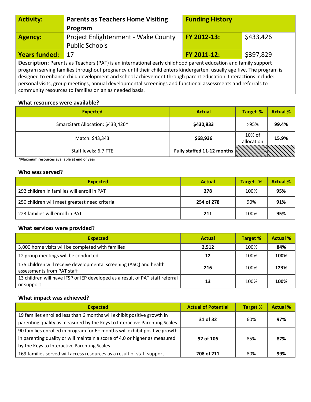| <b>Activity:</b>                                                                                                      | <b>Parents as Teachers Home Visiting</b>                                                                     | <b>Funding History</b> |           |  |  |
|-----------------------------------------------------------------------------------------------------------------------|--------------------------------------------------------------------------------------------------------------|------------------------|-----------|--|--|
|                                                                                                                       | Program                                                                                                      |                        |           |  |  |
| <b>Agency:</b>                                                                                                        | <b>Project Enlightenment - Wake County</b>                                                                   | FY 2012-13:            | \$433,426 |  |  |
|                                                                                                                       | <b>Public Schools</b>                                                                                        |                        |           |  |  |
| <b>Years funded:</b>                                                                                                  | 17                                                                                                           | FY 2011-12:            | \$397,829 |  |  |
| <b>Description:</b> Parents as Teachers (PAT) is an international early childhood parent education and family support |                                                                                                              |                        |           |  |  |
| program serving families throughout pregnancy until their child enters kindergarten, usually age five. The program is |                                                                                                              |                        |           |  |  |
| designed to enhance child development and school achievement through parent education. Interactions include:          |                                                                                                              |                        |           |  |  |
|                                                                                                                       | personal visits, group meetings, annual developmental screenings and functional assessments and referrals to |                        |           |  |  |

community resources to families on an as needed basis.

# **What resources were available?**

| <b>Expected</b>                   | <b>Actual</b>                                  | <b>Target %</b>      | <b>Actual %</b> |
|-----------------------------------|------------------------------------------------|----------------------|-----------------|
| SmartStart Allocation: \$433,426* | \$430,833                                      | >95%                 | 99.4%           |
| Match: \$43,343                   | \$68,936                                       | 10% of<br>allocation | 15.9%           |
| Staff levels: 6.7 FTE             | Fully staffed 11-12 months $\vert \cdot \vert$ |                      |                 |

**\*Maximum resources available at end of year** 

# **Who was served?**

| <b>Expected</b>                               | <b>Actual</b> | Target % | <b>Actual %</b> |
|-----------------------------------------------|---------------|----------|-----------------|
| 292 children in families will enroll in PAT   | 278           | 100%     | 95%             |
| 250 children will meet greatest need criteria | 254 of 278    | 90%      | 91%             |
| 223 families will enroll in PAT               | 211           | 100%     | 95%             |

# **What services were provided?**

| <b>Expected</b>                                                                                  | <b>Actual</b> | <b>Target %</b> | <b>Actual %</b> |
|--------------------------------------------------------------------------------------------------|---------------|-----------------|-----------------|
| 3,000 home visits will be completed with families                                                | 2.512         | 100%            | 84%             |
| 12 group meetings will be conducted                                                              | 12            | 100%            | 100%            |
| 175 children will receive developmental screening (ASQ) and health<br>assessments from PAT staff | 216           | 100%            | 123%            |
| 13 children will have IFSP or IEP developed as a result of PAT staff referral<br>or support      | 13            | 100%            | 100%            |

| <b>Expected</b>                                                            | <b>Actual of Potential</b> | <b>Target %</b> | <b>Actual %</b> |
|----------------------------------------------------------------------------|----------------------------|-----------------|-----------------|
| 19 families enrolled less than 6 months will exhibit positive growth in    |                            |                 |                 |
| parenting quality as measured by the Keys to Interactive Parenting Scales  | 31 of 32                   | 60%             | 97%             |
| 90 families enrolled in program for 6+ months will exhibit positive growth |                            |                 |                 |
| in parenting quality or will maintain a score of 4.0 or higher as measured | 92 of 106                  | 85%             | 87%             |
| by the Keys to Interactive Parenting Scales                                |                            |                 |                 |
| 169 families served will access resources as a result of staff support     | 208 of 211                 | 80%             | 99%             |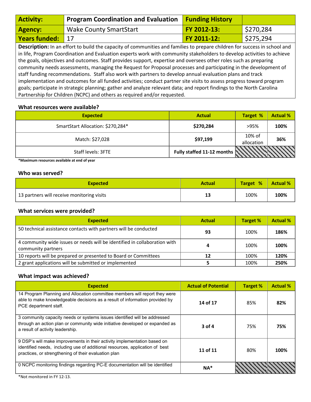| <b>Activity:</b>     | <b>Program Coordination and Evaluation</b>                                                                                                                                                                                                                                                                                                                                                                                                                                                                                                                                                                                                                                                                                                                                                                                                                | <b>Funding History</b> |           |
|----------------------|-----------------------------------------------------------------------------------------------------------------------------------------------------------------------------------------------------------------------------------------------------------------------------------------------------------------------------------------------------------------------------------------------------------------------------------------------------------------------------------------------------------------------------------------------------------------------------------------------------------------------------------------------------------------------------------------------------------------------------------------------------------------------------------------------------------------------------------------------------------|------------------------|-----------|
| <b>Agency:</b>       | <b>Wake County SmartStart</b>                                                                                                                                                                                                                                                                                                                                                                                                                                                                                                                                                                                                                                                                                                                                                                                                                             | FY 2012-13:            | \$270,284 |
| <b>Years funded:</b> | 17                                                                                                                                                                                                                                                                                                                                                                                                                                                                                                                                                                                                                                                                                                                                                                                                                                                        | FY 2011-12:            | \$275,294 |
|                      | Description: In an effort to build the capacity of communities and families to prepare children for success in school and<br>in life, Program Coordination and Evaluation experts work with community stakeholders to develop activities to achieve<br>the goals, objectives and outcomes. Staff provides support, expertise and oversees other roles such as preparing<br>community needs assessments, managing the Request for Proposal processes and participating in the development of<br>staff funding recommendations. Staff also work with partners to develop annual evaluation plans and track<br>implementation and outcomes for all funded activities; conduct partner site visits to assess progress toward program<br>goals; participate in strategic planning; gather and analyze relevant data; and report findings to the North Carolina |                        |           |

# **What resources were available?**

Partnership for Children (NCPC) and others as required and/or requested.

| <b>Expected</b>                   | <b>Actual</b>                          | <b>Target %</b>      | <b>Actual %</b> |
|-----------------------------------|----------------------------------------|----------------------|-----------------|
| SmartStart Allocation: \$270,284* | \$270,284                              | >95%                 | 100%            |
| Match: \$27,028                   | \$97,199                               | 10% of<br>allocation | 36%             |
| Staff levels: 3FTE                | Fully staffed 11-12 months $\mathbb N$ |                      |                 |

**\*Maximum resources available at end of year** 

#### **Who was served?**

| <b>Expected</b>                            | <b>Actual</b> | <b>Target %</b> | <b>Actual %</b> |
|--------------------------------------------|---------------|-----------------|-----------------|
| 13 partners will receive monitoring visits | 13            | 100%            | 100%            |

# **What services were provided?**

| <b>Expected</b>                                                                                 | <b>Actual</b> | <b>Target %</b> | <b>Actual %</b> |
|-------------------------------------------------------------------------------------------------|---------------|-----------------|-----------------|
| 50 technical assistance contacts with partners will be conducted                                | 93            | 100%            | 186%            |
| 4 community wide issues or needs will be identified in collaboration with<br>community partners |               | 100%            | 100%            |
| 10 reports will be prepared or presented to Board or Committees                                 | 12            | 100%            | 120%            |
| 2 grant applications will be submitted or implemented                                           |               | 100%            | 250%            |

# **What impact was achieved?**

| <b>Expected</b>                                                                                                                                                                                                  | <b>Actual of Potential</b> | <b>Target %</b> | <b>Actual %</b> |
|------------------------------------------------------------------------------------------------------------------------------------------------------------------------------------------------------------------|----------------------------|-----------------|-----------------|
| 14 Program Planning and Allocation committee members will report they were<br>able to make knowledgeable decisions as a result of information provided by<br>PCE department staff.                               | 14 of 17                   | 85%             | 82%             |
| 3 community capacity needs or systems issues identified will be addressed<br>through an action plan or community wide initiative developed or expanded as<br>a result of activity leadership.                    | $3$ of 4                   | 75%             | 75%             |
| 9 DSP's will make improvements in their activity implementation based on<br>identified needs, including use of additional resources, application of best<br>practices, or strengthening of their evaluation plan | 11 of 11                   | 80%             | 100%            |
| 0 NCPC monitoring findings regarding PC-E documentation will be identified                                                                                                                                       | $NA^*$                     |                 |                 |

\*Not monitored in FY 12-13.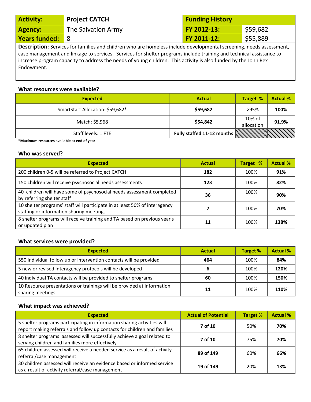| <b>Activity:</b>                                                                                                    | <b>Project CATCH</b>                                                                                                | <b>Funding History</b> |          |  |  |
|---------------------------------------------------------------------------------------------------------------------|---------------------------------------------------------------------------------------------------------------------|------------------------|----------|--|--|
| <b>Agency:</b>                                                                                                      | The Salvation Army                                                                                                  | FY 2012-13:            | \$59,682 |  |  |
| <b>Years funded:</b>                                                                                                | 8                                                                                                                   | FY 2011-12:            | \$55,889 |  |  |
| Description: Services for families and children who are homeless include developmental screening, needs assessment, |                                                                                                                     |                        |          |  |  |
|                                                                                                                     | case management and linkage to services. Services for shelter programs include training and technical assistance to |                        |          |  |  |
| increase program capacity to address the needs of young children. This activity is also funded by the John Rex      |                                                                                                                     |                        |          |  |  |
| Endowment.                                                                                                          |                                                                                                                     |                        |          |  |  |

# **What resources were available?**

| <b>Expected</b>                  | <b>Actual</b>                          | Target %             | <b>Actual %</b> |
|----------------------------------|----------------------------------------|----------------------|-----------------|
| SmartStart Allocation: \$59,682* | \$59,682                               | >95%                 | 100%            |
| Match: \$5,968                   | \$54,842                               | 10% of<br>allocation | 91.9%           |
| Staff levels: 1 FTE              | Fully staffed 11-12 months $\mathbb N$ |                      |                 |

**\*Maximum resources available at end of year** 

# **Who was served?**

| <b>Expected</b>                                                                                                        | <b>Actual</b> | Target % | <b>Actual %</b> |
|------------------------------------------------------------------------------------------------------------------------|---------------|----------|-----------------|
| 200 children 0-5 will be referred to Project CATCH                                                                     | 182           | 100%     | 91%             |
| 150 children will receive psychosocial needs assessments                                                               | 123           | 100%     | 82%             |
| 40 children will have some of psychosocial needs assessment completed<br>by referring shelter staff                    | 36            | 100%     | 90%             |
| 10 shelter programs' staff will participate in at least 50% of interagency<br>staffing or information sharing meetings |               | 100%     | 70%             |
| 8 shelter programs will receive training and TA based on previous year's<br>or updated plan                            | 11            | 100%     | 138%            |

# **What services were provided?**

| <b>Expected</b>                                                                            | <b>Actual</b> | Target % | <b>Actual %</b> |
|--------------------------------------------------------------------------------------------|---------------|----------|-----------------|
| 550 individual follow up or intervention contacts will be provided                         | 464           | 100%     | 84%             |
| 5 new or revised interagency protocols will be developed                                   |               | 100%     | 120%            |
| 40 individual TA contacts will be provided to shelter programs                             | 60            | 100%     | 150%            |
| 10 Resource presentations or trainings will be provided at information<br>sharing meetings | 11            | 100%     | 110%            |

| <b>Expected</b>                                                                                                                                     | <b>Actual of Potential</b> | <b>Target %</b> | <b>Actual %</b> |
|-----------------------------------------------------------------------------------------------------------------------------------------------------|----------------------------|-----------------|-----------------|
| 5 shelter programs participating in information sharing activities will<br>report making referrals and follow up contacts for children and families | 7 of 10                    | 50%             | 70%             |
| 8 shelter programs assessed will successfully achieve a goal related to<br>serving children and families more effectively                           | 7 of 10                    | 75%             | 70%             |
| 65 children assessed will receive a needed service as a result of activity<br>referral/case management                                              | 89 of 149                  | 60%             | 66%             |
| 30 children assessed will receive an evidence based or informed service<br>as a result of activity referral/case management                         | 19 of 149                  | 20%             | 13%             |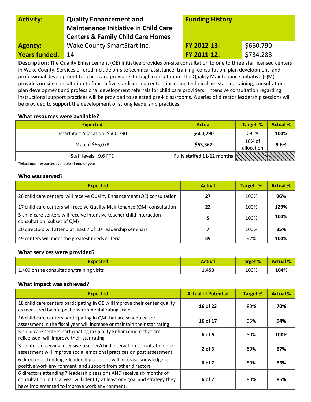| <b>Activity:</b>     | <b>Quality Enhancement and</b><br><b>Maintenance Initiative in Child Care</b><br><b>Centers &amp; Family Child Care Homes</b> | <b>Funding History</b> |           |
|----------------------|-------------------------------------------------------------------------------------------------------------------------------|------------------------|-----------|
| Agency:              | Wake County SmartStart Inc.                                                                                                   | FY 2012-13:            | \$660,790 |
| <b>Years funded:</b> | 14                                                                                                                            | FY 2011-12:            | \$734,288 |

**Description:** The Quality Enhancement (QE) Initiative provides on-site consultation to one to three star licensed centers in Wake County. Services offered include on-site technical assistance, training, consultation, plan development, and professional development for child care providers through consultation. The Quality Maintenance Initiative (QM) provides on-site consultation to four to five star licensed centers including technical assistance, training, consultation, plan development and professional development referrals for child care providers. Intensive consultation regarding instructional support practices will be provided to selected pre-k classrooms. A series of director leadership sessions will be provided to support the development of strong leadership practices.

# **What resources were available?**

| <b>Expected</b>                  | <b>Actual</b>                           | <b>Target %</b>      | <b>Actual %</b> |
|----------------------------------|-----------------------------------------|----------------------|-----------------|
| SmartStart Allocation: \$660,790 | \$660,790                               | >95%                 | 100%            |
| Match: \$66,079                  | \$63,362                                | 10% of<br>allocation | 9.6%            |
| Staff levels: 9.6 FTE            | Fully staffed 11-12 months $\mathbb{N}$ |                      |                 |

**\*Maximum resources available at end of year** 

# **Who was served?**

| <b>Expected</b>                                                                                      | <b>Actual</b> | Target % | <b>Actual %</b> |
|------------------------------------------------------------------------------------------------------|---------------|----------|-----------------|
| 28 child care centers will receive Quality Enhancement (QE) consultation                             | 27            | 100%     | 96%             |
| 17 child care centers will receive Quality Maintenance (QM) consultation                             | 22            | 100%     | 129%            |
| 5 child care centers will receive intensive teacher child interaction<br>consultation (subset of QM) |               | 100%     | 100%            |
| 20 directors will attend at least 7 of 10 leadership seminars                                        |               | 100%     | 35%             |
| 49 centers will meet the greatest needs criteria                                                     | 49            | 92%      | 100%            |

# **What services were provided?**

| <b>Expected</b>                           | Actual | <b>Target %</b> | <b>Actual %</b> |
|-------------------------------------------|--------|-----------------|-----------------|
| 1,400 onsite consultation/training visits | 1.458  | 100%            | 104%            |

| <b>Expected</b>                                                                                                                                                                                         | <b>Actual of Potential</b> | <b>Target %</b> | <b>Actual %</b> |
|---------------------------------------------------------------------------------------------------------------------------------------------------------------------------------------------------------|----------------------------|-----------------|-----------------|
| 18 child care centers participating in QE will improve their center quality<br>as measured by pre post environmental rating scales.                                                                     | 16 of 23                   | 80%             | 70%             |
| 16 child care centers participating in QM that are scheduled for<br>assessment in the fiscal year will increase or maintain their star rating                                                           | 16 of 17                   | 95%             | 94%             |
| 5 child care centers participating in Quality Enhancement that are<br>relicensed will improve their star rating                                                                                         | 6 of 6                     | 80%             | 100%            |
| 3 centers receiving intensive teacher/child interaction consultation pre<br>assessment will improve social emotional practices on post assessment                                                       | $2$ of $3$                 | 80%             | 67%             |
| 6 directors attending 7 leadership sessions will increase knowledge of<br>positive work environment and support from other directors                                                                    | 6 of 7                     | 80%             | 86%             |
| 6 directors attending 7 leadership sessions AND receive six months of<br>consultation in fiscal year will identify at least one goal and strategy they<br>have implemented to improve work environment. | 6 of 7                     | 80%             | 86%             |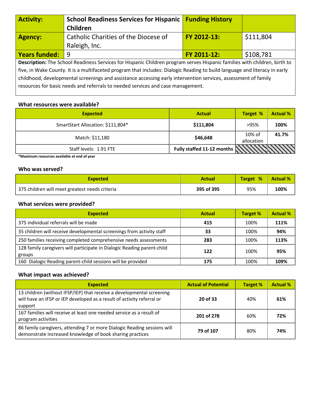| <b>Activity:</b>                                                                                                           | <b>School Readiness Services for Hispanic</b>                                                                             | <b>Funding History</b> |           |  |
|----------------------------------------------------------------------------------------------------------------------------|---------------------------------------------------------------------------------------------------------------------------|------------------------|-----------|--|
|                                                                                                                            | Children                                                                                                                  |                        |           |  |
| <b>Agency:</b>                                                                                                             | Catholic Charities of the Diocese of                                                                                      | FY 2012-13:            | \$111,804 |  |
|                                                                                                                            | Raleigh, Inc.                                                                                                             |                        |           |  |
| <b>Years funded:</b>                                                                                                       | 9                                                                                                                         | FY 2011-12:            | \$108,781 |  |
|                                                                                                                            | Description: The School Readiness Services for Hispanic Children program serves Hispanic families with children, birth to |                        |           |  |
| five, in Wake County. It is a multifaceted program that includes: Dialogic Reading to build language and literacy in early |                                                                                                                           |                        |           |  |
| childhood, developmental screenings and assistance accessing early intervention services, assessment of family             |                                                                                                                           |                        |           |  |
|                                                                                                                            | resources for basic needs and referrals to needed services and case management.                                           |                        |           |  |

# **What resources were available?**

| <b>Expected</b>                   | <b>Actual</b>                           | <b>Target %</b>         | <b>Actual %</b> |
|-----------------------------------|-----------------------------------------|-------------------------|-----------------|
| SmartStart Allocation: \$111,804* | \$111,804                               | >95%                    | 100%            |
| Match: \$11,180                   | \$46,648                                | $10\%$ of<br>allocation | 41.7%           |
| Staff levels: 1.91 FTE            | Fully staffed 11-12 months $\mathbb{N}$ |                         |                 |

**\*Maximum resources available at end of year** 

# **Who was served?**

| <b>Expected</b>                                | <b>Actual</b> | Target % | <b>Actual %</b> |
|------------------------------------------------|---------------|----------|-----------------|
| 375 children will meet greatest needs criteria | 395 of 395    | 95%      | 100%            |

# **What services were provided?**

| <b>Expected</b>                                                                   | <b>Actual</b> | <b>Target %</b> | <b>Actual %</b> |
|-----------------------------------------------------------------------------------|---------------|-----------------|-----------------|
| 375 individual referrals will be made                                             | 415           | 100%            | 111%            |
| 35 children will receive developmental screenings from activity staff             | 33            | 100%            | 94%             |
| 250 families receiving completed comprehensive needs assessments                  | 283           | 100%            | 113%            |
| 128 family caregivers will participate in Dialogic Reading parent-child<br>groups | 122           | 100%            | 95%             |
| 160 Dialogic Reading parent-child sessions will be provided                       | 175           | 100%            | 109%            |

| <b>Expected</b>                                                                                                                                            | <b>Actual of Potential</b> | <b>Target %</b> | <b>Actual %</b> |
|------------------------------------------------------------------------------------------------------------------------------------------------------------|----------------------------|-----------------|-----------------|
| 13 children (without IFSP/IEP) that receive a developmental screening<br>will have an IFSP or IEP developed as a result of activity referral or<br>support | 20 of 33                   | 40%             | 61%             |
| 167 families will receive at least one needed service as a result of<br>program activities                                                                 | 201 of 278                 | 60%             | 72%             |
| 86 family caregivers, attending 7 or more Dialogic Reading sessions will<br>demonstrate increased knowledge of book sharing practices                      | 79 of 107                  | 80%             | 74%             |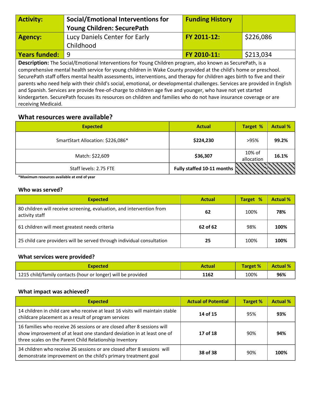| <b>Activity:</b>                                                                                                          | <b>Social/Emotional Interventions for</b>                                                                               | <b>Funding History</b> |           |  |  |
|---------------------------------------------------------------------------------------------------------------------------|-------------------------------------------------------------------------------------------------------------------------|------------------------|-----------|--|--|
|                                                                                                                           | <b>Young Children: SecurePath</b>                                                                                       |                        |           |  |  |
| <b>Agency:</b>                                                                                                            | Lucy Daniels Center for Early                                                                                           | FY 2011-12:            | \$226,086 |  |  |
|                                                                                                                           | Childhood                                                                                                               |                        |           |  |  |
| <b>Years funded:</b>                                                                                                      | -9                                                                                                                      | FY 2010-11:            | \$213,034 |  |  |
| Description: The Social/Emotional Interventions for Young Children program, also known as SecurePath, is a                |                                                                                                                         |                        |           |  |  |
|                                                                                                                           | comprehensive mental health service for young children in Wake County provided at the child's home or preschool.        |                        |           |  |  |
|                                                                                                                           | SecurePath staff offers mental health assessments, interventions, and therapy for children ages birth to five and their |                        |           |  |  |
| parents who need help with their child's social, emotional, or developmental challenges. Services are provided in English |                                                                                                                         |                        |           |  |  |
| and Spanish. Services are provide free-of-charge to children age five and younger, who have not yet started               |                                                                                                                         |                        |           |  |  |
| kindergarten. SecurePath focuses its resources on children and families who do not have insurance coverage or are         |                                                                                                                         |                        |           |  |  |

receiving Medicaid.

# **What resources were available?**

| <b>Expected</b>                   | <b>Actual</b>              | <b>Target %</b>      | <b>Actual %</b> |
|-----------------------------------|----------------------------|----------------------|-----------------|
| SmartStart Allocation: \$226,086* | \$224,230                  | >95%                 | 99.2%           |
| Match: \$22,609                   | \$36,307                   | 10% of<br>allocation | 16.1%           |
| Staff levels: 2.75 FTE            | Fully staffed 10-11 months |                      |                 |

**\*Maximum resources available at end of year** 

# **Who was served?**

| <b>Expected</b>                                                                         | <b>Actual</b> | Target % | <b>Actual %</b> |
|-----------------------------------------------------------------------------------------|---------------|----------|-----------------|
| 80 children will receive screening, evaluation, and intervention from<br>activity staff | 62            | 100%     | 78%             |
| 61 children will meet greatest needs criteria                                           | 62 of 62      | 98%      | 100%            |
| 25 child care providers will be served through individual consultation                  | 25            | 100%     | 100%            |

# **What services were provided?**

| <b>Expected</b>                                              | <b>Actual</b> | <b>Target %</b> | <b>Actual %</b> |
|--------------------------------------------------------------|---------------|-----------------|-----------------|
| 1215 child/family contacts (hour or longer) will be provided | 1162          | 100%            | 96%             |

| <b>Expected</b>                                                                                                                                                                                              | <b>Actual of Potential</b> | <b>Target %</b> | <b>Actual %</b> |
|--------------------------------------------------------------------------------------------------------------------------------------------------------------------------------------------------------------|----------------------------|-----------------|-----------------|
| 14 children in child care who receive at least 16 visits will maintain stable<br>childcare placement as a result of program services                                                                         | 14 of 15                   | 95%             | 93%             |
| 16 families who receive 26 sessions or are closed after 8 sessions will<br>show improvement of at least one standard deviation in at least one of<br>three scales on the Parent Child Relationship Inventory | 17 of 18                   | 90%             | 94%             |
| 34 children who receive 26 sessions or are closed after 8 sessions will<br>demonstrate improvement on the child's primary treatment goal                                                                     | 38 of 38                   | 90%             | 100%            |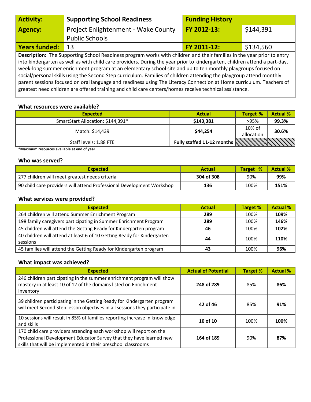| <b>Activity:</b>     | <b>Supporting School Readiness</b>                                                                                                                                                                                                                                                                                                                                                                                                                                                                                                                                                                                                                                                                                             | <b>Funding History</b> |           |
|----------------------|--------------------------------------------------------------------------------------------------------------------------------------------------------------------------------------------------------------------------------------------------------------------------------------------------------------------------------------------------------------------------------------------------------------------------------------------------------------------------------------------------------------------------------------------------------------------------------------------------------------------------------------------------------------------------------------------------------------------------------|------------------------|-----------|
| <b>Agency:</b>       | Project Enlightenment - Wake County                                                                                                                                                                                                                                                                                                                                                                                                                                                                                                                                                                                                                                                                                            | FY 2012-13:            | \$144,391 |
|                      | <b>Public Schools</b>                                                                                                                                                                                                                                                                                                                                                                                                                                                                                                                                                                                                                                                                                                          |                        |           |
| <b>Years funded:</b> | 13                                                                                                                                                                                                                                                                                                                                                                                                                                                                                                                                                                                                                                                                                                                             | FY 2011-12:            | \$134,560 |
|                      | Description: The Supporting School Readiness program works with children and their families in the year prior to entry<br>into kindergarten as well as with child care providers. During the year prior to kindergarten, children attend a part-day,<br>week-long summer enrichment program at an elementary school site and up to ten monthly playgroups focused on<br>social/personal skills using the Second Step curriculum. Families of children attending the playgroup attend monthly<br>parent sessions focused on oral language and readiness using The Literacy Connection at Home curriculum. Teachers of<br>greatest need children are offered training and child care centers/homes receive technical assistance. |                        |           |

# **What resources were available?**

| <b>Expected</b>                   | <b>Actual</b>                           | Target %             | <b>Actual %</b> |
|-----------------------------------|-----------------------------------------|----------------------|-----------------|
| SmartStart Allocation: \$144,391* | \$143,381                               | >95%                 | 99.3%           |
| Match: \$14,439                   | \$44,254                                | 10% of<br>allocation | 30.6%           |
| Staff levels: 1.88 FTE            | Fully staffed 11-12 months $\mathbb{N}$ |                      |                 |

**\*Maximum resources available at end of year** 

# **Who was served?**

| <b>Expected</b>                                                       | <b>Actual</b> | Target % | <b>Actual %</b> |
|-----------------------------------------------------------------------|---------------|----------|-----------------|
| 277 children will meet greatest needs criteria                        | 304 of 308    | 90%      | 99%             |
| 90 child care providers will attend Professional Development Workshop | 136           | 100%     | 151%            |

# **What services were provided?**

| <b>Expected</b>                                                                     | <b>Actual</b> | <b>Target %</b> | <b>Actual %</b> |
|-------------------------------------------------------------------------------------|---------------|-----------------|-----------------|
| 264 children will attend Summer Enrichment Program                                  | 289           | 100%            | 109%            |
| 198 family caregivers participating in Summer Enrichment Program                    | 289           | 100%            | 146%            |
| 45 children will attend the Getting Ready for Kindergarten program                  | 46            | 100%            | 102%            |
| 40 children will attend at least 6 of 10 Getting Ready for Kindergarten<br>sessions | 44            | 100%            | 110%            |
|                                                                                     |               |                 |                 |
| 45 families will attend the Getting Ready for Kindergarten program                  | 43            | 100%            | 96%             |

| <b>Expected</b>                                                                                                                                                                                             | <b>Actual of Potential</b> | <b>Target %</b> | <b>Actual %</b> |
|-------------------------------------------------------------------------------------------------------------------------------------------------------------------------------------------------------------|----------------------------|-----------------|-----------------|
| 246 children participating in the summer enrichment program will show<br>mastery in at least 10 of 12 of the domains listed on Enrichment<br>Inventory                                                      | 248 of 289                 | 85%             | 86%             |
| 39 children participating in the Getting Ready for Kindergarten program<br>will meet Second Step lesson objectives in all sessions they participate in                                                      | 42 of 46                   | 85%             | 91%             |
| 10 sessions will result in 85% of families reporting increase in knowledge<br>and skills                                                                                                                    | $10$ of $10$               | 100%            | 100%            |
| 170 child care providers attending each workshop will report on the<br>Professional Development Educator Survey that they have learned new<br>skills that will be implemented in their preschool classrooms | 164 of 189                 | 90%             | 87%             |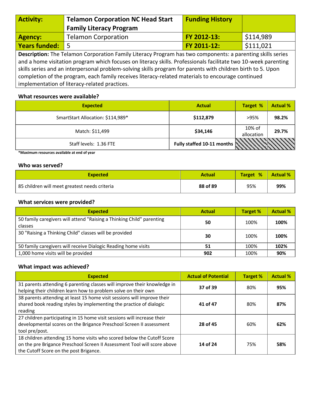| <b>Activity:</b>                                                                                                  | <b>Telamon Corporation NC Head Start</b> | <b>Funding History</b> |           |  |
|-------------------------------------------------------------------------------------------------------------------|------------------------------------------|------------------------|-----------|--|
|                                                                                                                   | <b>Family Literacy Program</b>           |                        |           |  |
| <b>Agency:</b>                                                                                                    | <b>Telamon Corporation</b>               | FY 2012-13:            | \$114,989 |  |
| Years funded: 5                                                                                                   |                                          | FY 2011-12:            | \$111,021 |  |
| <b>Description:</b> The Telamon Corporation Family Literacy Program has two components: a parenting skills series |                                          |                        |           |  |

and a home visitation program which focuses on literacy skills. Professionals facilitate two 10-week parenting skills series and an interpersonal problem-solving skills program for parents with children birth to 5. Upon completion of the program, each family receives literacy-related materials to encourage continued implementation of literacy-related practices.

# **What resources were available?**

| <b>Expected</b>                   | <b>Actual</b>                     | <b>Target %</b>      | <b>Actual %</b> |
|-----------------------------------|-----------------------------------|----------------------|-----------------|
| SmartStart Allocation: \$114,989* | \$112,879                         | >95%                 | 98.2%           |
| Match: \$11,499                   | \$34,146                          | 10% of<br>allocation | 29.7%           |
| Staff levels: 1.36 FTE            | Fully staffed 10-11 months $\sum$ |                      |                 |

**\*Maximum resources available at end of year** 

# **Who was served?**

| <b>Expected</b>                               | <b>Actual</b> | Target % | <b>Actual %</b> |
|-----------------------------------------------|---------------|----------|-----------------|
| 85 children will meet greatest needs criteria | 88 of 89      | 95%      | 99%             |

# **What services were provided?**

| <b>Expected</b>                                                                  | <b>Actual</b> | <b>Target %</b> | <b>Actual %</b> |
|----------------------------------------------------------------------------------|---------------|-----------------|-----------------|
| 50 family caregivers will attend "Raising a Thinking Child" parenting<br>classes | 50            | 100%            | 100%            |
| 30 "Raising a Thinking Child" classes will be provided                           | 30            | 100%            | 100%            |
| 50 family caregivers will receive Dialogic Reading home visits                   | 51            | 100%            | 102%            |
| 1,000 home visits will be provided                                               | 902           | 100%            | 90%             |

| <b>Expected</b>                                                                                                                                                                              | <b>Actual of Potential</b> | <b>Target %</b> | <b>Actual %</b> |
|----------------------------------------------------------------------------------------------------------------------------------------------------------------------------------------------|----------------------------|-----------------|-----------------|
| 31 parents attending 6 parenting classes will improve their knowledge in<br>helping their children learn how to problem solve on their own                                                   | 37 of 39                   | 80%             | 95%             |
| 38 parents attending at least 15 home visit sessions will improve their<br>shared book reading styles by implementing the practice of dialogic<br>reading                                    | 41 of 47                   | 80%             | 87%             |
| 27 children participating in 15 home visit sessions will increase their<br>developmental scores on the Brigance Preschool Screen II assessment<br>tool pre/post.                             | 28 of 45                   | 60%             | 62%             |
| 18 children attending 15 home visits who scored below the Cutoff Score<br>on the pre Brigance Preschool Screen II Assessment Tool will score above<br>the Cutoff Score on the post Brigance. | 14 of 24                   | 75%             | 58%             |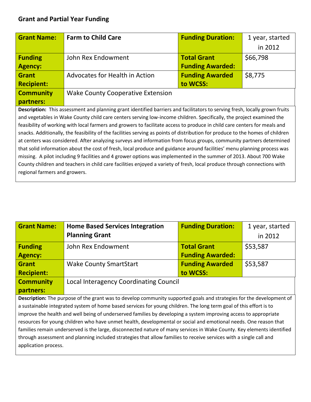| <b>Grant Name:</b>                                                                                                          | <b>Farm to Child Care</b>                | <b>Funding Duration:</b> | 1 year, started |  |  |
|-----------------------------------------------------------------------------------------------------------------------------|------------------------------------------|--------------------------|-----------------|--|--|
|                                                                                                                             |                                          |                          | in 2012         |  |  |
| <b>Funding</b>                                                                                                              | John Rex Endowment                       | <b>Total Grant</b>       | \$66,798        |  |  |
| <b>Agency:</b>                                                                                                              |                                          | <b>Funding Awarded:</b>  |                 |  |  |
| <b>Grant</b>                                                                                                                | Advocates for Health in Action           | <b>Funding Awarded</b>   | \$8,775         |  |  |
| <b>Recipient:</b>                                                                                                           |                                          | to WCSS:                 |                 |  |  |
| <b>Community</b>                                                                                                            | <b>Wake County Cooperative Extension</b> |                          |                 |  |  |
| partners:                                                                                                                   |                                          |                          |                 |  |  |
| Description: This assessment and planning grant identified barriers and facilitators to serving fresh, locally grown fruits |                                          |                          |                 |  |  |
| and vegatables in Wake County shild care senters sening low income shildren. Specifically the project examined the          |                                          |                          |                 |  |  |

and vegetables in Wake County child care centers serving low-income children. Specifically, the project examined the feasibility of working with local farmers and growers to facilitate access to produce in child care centers for meals and snacks. Additionally, the feasibility of the facilities serving as points of distribution for produce to the homes of children at centers was considered. After analyzing surveys and information from focus groups, community partners determined that solid information about the cost of fresh, local produce and guidance around facilities' menu planning process was missing. A pilot including 9 facilities and 4 grower options was implemented in the summer of 2013. About 700 Wake County children and teachers in child care facilities enjoyed a variety of fresh, local produce through connections with regional farmers and growers.

| <b>Grant Name:</b>                                                                                                     | <b>Home Based Services Integration</b>                                                                               | <b>Funding Duration:</b> | 1 year, started |  |
|------------------------------------------------------------------------------------------------------------------------|----------------------------------------------------------------------------------------------------------------------|--------------------------|-----------------|--|
|                                                                                                                        | <b>Planning Grant</b>                                                                                                |                          | in 2012         |  |
| <b>Funding</b>                                                                                                         | John Rex Endowment                                                                                                   | <b>Total Grant</b>       | \$53,587        |  |
| <b>Agency:</b>                                                                                                         |                                                                                                                      | <b>Funding Awarded:</b>  |                 |  |
| <b>Grant</b>                                                                                                           | <b>Wake County SmartStart</b>                                                                                        | <b>Funding Awarded</b>   | \$53,587        |  |
| <b>Recipient:</b>                                                                                                      |                                                                                                                      | to WCSS:                 |                 |  |
| <b>Community</b>                                                                                                       | Local Interagency Coordinating Council                                                                               |                          |                 |  |
| partners:                                                                                                              |                                                                                                                      |                          |                 |  |
|                                                                                                                        | Description: The purpose of the grant was to develop community supported goals and strategies for the development of |                          |                 |  |
|                                                                                                                        | a sustainable integrated system of home based services for young children. The long term goal of this effort is to   |                          |                 |  |
|                                                                                                                        | improve the health and well being of underserved families by developing a system improving access to appropriate     |                          |                 |  |
| resources for young children who have unmet health, developmental or social and emotional needs. One reason that       |                                                                                                                      |                          |                 |  |
| families remain underserved is the large, disconnected nature of many services in Wake County. Key elements identified |                                                                                                                      |                          |                 |  |
| through assessment and planning included strategies that allow families to receive services with a single call and     |                                                                                                                      |                          |                 |  |
| application process.                                                                                                   |                                                                                                                      |                          |                 |  |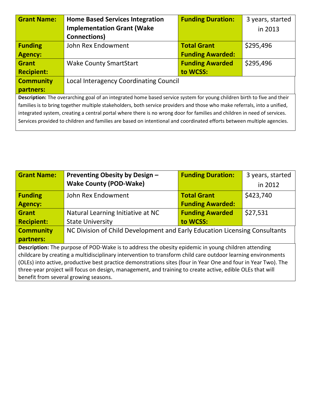| <b>Grant Name:</b>                                                                                                        | <b>Home Based Services Integration</b> | <b>Funding Duration:</b> | 3 years, started |  |
|---------------------------------------------------------------------------------------------------------------------------|----------------------------------------|--------------------------|------------------|--|
|                                                                                                                           | <b>Implementation Grant (Wake</b>      |                          | in 2013          |  |
|                                                                                                                           | Connections)                           |                          |                  |  |
| <b>Funding</b>                                                                                                            | John Rex Endowment                     | <b>Total Grant</b>       | \$295,496        |  |
| <b>Agency:</b>                                                                                                            |                                        | <b>Funding Awarded:</b>  |                  |  |
| <b>Grant</b>                                                                                                              | <b>Wake County SmartStart</b>          | <b>Funding Awarded</b>   | \$295,496        |  |
| <b>Recipient:</b>                                                                                                         |                                        | to WCSS:                 |                  |  |
| <b>Community</b>                                                                                                          | Local Interagency Coordinating Council |                          |                  |  |
| partners:                                                                                                                 |                                        |                          |                  |  |
| Description: The overarching goal of an integrated home based service system for young children birth to five and their   |                                        |                          |                  |  |
| families is to bring together multiple stakeholders, both service providers and those who make referrals, into a unified, |                                        |                          |                  |  |
| integrated system, creating a central portal where there is no wrong door for families and children in need of services.  |                                        |                          |                  |  |
| Services provided to children and families are based on intentional and coordinated efforts between multiple agencies.    |                                        |                          |                  |  |
|                                                                                                                           |                                        |                          |                  |  |

| <b>Grant Name:</b>                                                                                             | Preventing Obesity by Design -                                             | <b>Funding Duration:</b> | 3 years, started |  |  |
|----------------------------------------------------------------------------------------------------------------|----------------------------------------------------------------------------|--------------------------|------------------|--|--|
|                                                                                                                | <b>Wake County (POD-Wake)</b>                                              |                          | in 2012          |  |  |
| <b>Funding</b>                                                                                                 | John Rex Endowment                                                         | <b>Total Grant</b>       | \$423,740        |  |  |
| <b>Agency:</b>                                                                                                 |                                                                            | <b>Funding Awarded:</b>  |                  |  |  |
| <b>Grant</b>                                                                                                   | Natural Learning Initiative at NC                                          | <b>Funding Awarded</b>   | \$27,531         |  |  |
| <b>Recipient:</b>                                                                                              | <b>State University</b>                                                    | to WCSS:                 |                  |  |  |
| <b>Community</b>                                                                                               | NC Division of Child Development and Early Education Licensing Consultants |                          |                  |  |  |
| partners:                                                                                                      |                                                                            |                          |                  |  |  |
| <b>Description:</b> The purpose of POD-Wake is to address the obesity epidemic in young children attending     |                                                                            |                          |                  |  |  |
| childcare by creating a multidisciplinary intervention to transform child care outdoor learning environments   |                                                                            |                          |                  |  |  |
| (OLEs) into active, productive best practice demonstrations sites (four in Year One and four in Year Two). The |                                                                            |                          |                  |  |  |
| three-year project will focus on design, management, and training to create active, edible OLEs that will      |                                                                            |                          |                  |  |  |
| benefit from several growing seasons.                                                                          |                                                                            |                          |                  |  |  |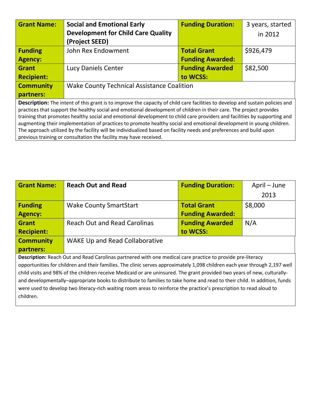| <b>Grant Name:</b>                                                                                                                   | <b>Social and Emotional Early</b>          | <b>Funding Duration:</b> | 3 years, started |  |  |
|--------------------------------------------------------------------------------------------------------------------------------------|--------------------------------------------|--------------------------|------------------|--|--|
|                                                                                                                                      | <b>Development for Child Care Quality</b>  |                          | in 2012          |  |  |
|                                                                                                                                      | (Project SEED)                             |                          |                  |  |  |
| <b>Funding</b>                                                                                                                       | John Rex Endowment                         | <b>Total Grant</b>       | \$926,479        |  |  |
| <b>Agency:</b>                                                                                                                       |                                            | <b>Funding Awarded:</b>  |                  |  |  |
| <b>Grant</b>                                                                                                                         | Lucy Daniels Center                        | <b>Funding Awarded</b>   | \$82,500         |  |  |
| <b>Recipient:</b>                                                                                                                    |                                            | to WCSS:                 |                  |  |  |
| <b>Community</b>                                                                                                                     | Wake County Technical Assistance Coalition |                          |                  |  |  |
| partners:                                                                                                                            |                                            |                          |                  |  |  |
| <b>Description:</b> The intent of this grant is to improve the capacity of child care facilities to develop and sustain policies and |                                            |                          |                  |  |  |
| practices that support the healthy social and emotional development of children in their care. The project provides                  |                                            |                          |                  |  |  |
| training that promotes healthy social and emotional development to child care providers and facilities by supporting and             |                                            |                          |                  |  |  |
| augmenting their implementation of practices to promote healthy social and emotional development in young children.                  |                                            |                          |                  |  |  |
| The approach utilized by the facility will be individualized based on facility needs and preferences and build upon                  |                                            |                          |                  |  |  |
| previous training or consultation the facility may have received.                                                                    |                                            |                          |                  |  |  |

| <b>Reach Out and Read</b>                                                                                                  | <b>Funding Duration:</b> | April - June |  |  |  |
|----------------------------------------------------------------------------------------------------------------------------|--------------------------|--------------|--|--|--|
|                                                                                                                            |                          | 2013         |  |  |  |
| <b>Wake County SmartStart</b>                                                                                              | <b>Total Grant</b>       | \$8,000      |  |  |  |
|                                                                                                                            | <b>Funding Awarded:</b>  |              |  |  |  |
| <b>Reach Out and Read Carolinas</b>                                                                                        | <b>Funding Awarded</b>   | N/A          |  |  |  |
|                                                                                                                            | to WCSS:                 |              |  |  |  |
| <b>WAKE Up and Read Collaborative</b>                                                                                      |                          |              |  |  |  |
|                                                                                                                            |                          |              |  |  |  |
| Description: Reach Out and Read Carolinas partnered with one medical care practice to provide pre-literacy                 |                          |              |  |  |  |
| opportunities for children and their families. The clinic serves approximately 1,098 children each year through 2,197 well |                          |              |  |  |  |
| child visits and 98% of the children receive Medicaid or are uninsured. The grant provided two years of new, culturally-   |                          |              |  |  |  |
| and developmentally–appropriate books to distribute to families to take home and read to their child. In addition, funds   |                          |              |  |  |  |
| were used to develop two literacy-rich waiting room areas to reinforce the practice's prescription to read aloud to        |                          |              |  |  |  |
| children.                                                                                                                  |                          |              |  |  |  |
|                                                                                                                            |                          |              |  |  |  |